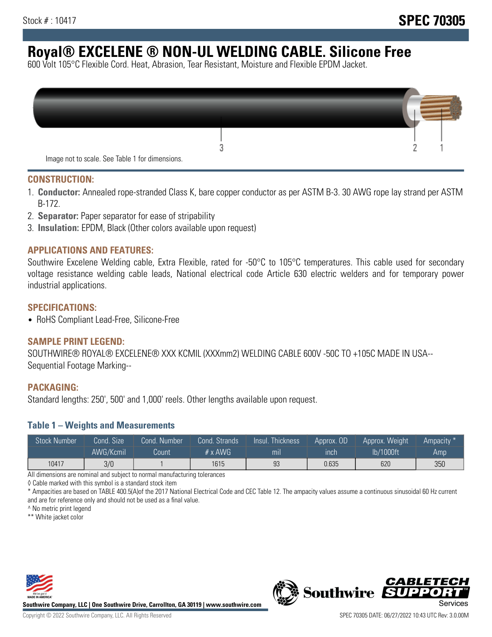# **Royal® EXCELENE ® NON-UL WELDING CABLE. Silicone Free**

600 Volt 105°C Flexible Cord. Heat, Abrasion, Tear Resistant, Moisture and Flexible EPDM Jacket.

| Image not to scale. See Table 1 for dimensions. |  |
|-------------------------------------------------|--|

#### **CONSTRUCTION:**

- 1. **Conductor:** Annealed rope-stranded Class K, bare copper conductor as per ASTM B-3. 30 AWG rope lay strand per ASTM B-172.
- 2. **Separator:** Paper separator for ease of stripability
- 3. **Insulation:** EPDM, Black (Other colors available upon request)

#### **APPLICATIONS AND FEATURES:**

Southwire Excelene Welding cable, Extra Flexible, rated for -50°C to 105°C temperatures. This cable used for secondary voltage resistance welding cable leads, National electrical code Article 630 electric welders and for temporary power industrial applications.

#### **SPECIFICATIONS:**

• RoHS Compliant Lead-Free, Silicone-Free

#### **SAMPLE PRINT LEGEND:**

SOUTHWIRE® ROYAL® EXCELENE® XXX KCMIL (XXXmm2) WELDING CABLE 600V -50C TO +105C MADE IN USA-- Sequential Footage Marking--

#### **PACKAGING:**

Standard lengths: 250', 500' and 1,000' reels. Other lengths available upon request.

#### **Table 1 – Weights and Measurements**

| <b>Stock Number</b> | Cond. Size' | Cond. Number | Cond. Strands   | /Insul.<br>:Thickness' | Approx. OD | Approx. Weight | Ampacity * |
|---------------------|-------------|--------------|-----------------|------------------------|------------|----------------|------------|
|                     | AWG/Kcmil   | Count        | $# \times$ AWG. | m <sub>l</sub>         | inch       | lb/1000ft      | Amp        |
| 10417               | 3/0         |              | 1615            | 93                     | 0.635      | 620            | 350        |

All dimensions are nominal and subject to normal manufacturing tolerances

◊ Cable marked with this symbol is a standard stock item

\* Ampacities are based on TABLE 400.5(A)of the 2017 National Electrical Code and CEC Table 12. The ampacity values assume a continuous sinusoidal 60 Hz current and are for reference only and should not be used as a final value.

^ No metric print legend

\*\* White jacket color



**Southwire Company, LLC | One Southwire Drive, Carrollton, GA 30119 | www.southwire.com**



*CABLETE*